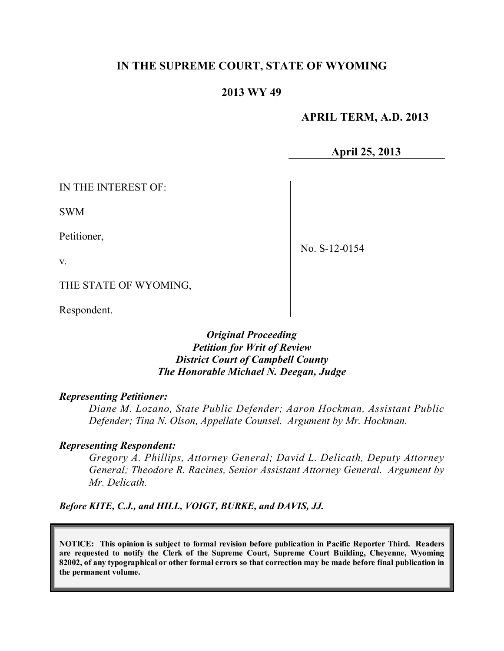## **IN THE SUPREME COURT, STATE OF WYOMING**

### **2013 WY 49**

 **APRIL TERM, A.D. 2013**

**April 25, 2013**

IN THE INTEREST OF:

SWM

v.

Petitioner,

No. S-12-0154

THE STATE OF WYOMING,

Respondent.

### *Original Proceeding Petition for Writ of Review District Court of Campbell County The Honorable Michael N. Deegan, Judge*

#### *Representing Petitioner:*

*Diane M. Lozano, State Public Defender; Aaron Hockman, Assistant Public Defender; Tina N. Olson, Appellate Counsel. Argument by Mr. Hockman.*

#### *Representing Respondent:*

*Gregory A. Phillips, Attorney General; David L. Delicath, Deputy Attorney General; Theodore R. Racines, Senior Assistant Attorney General. Argument by Mr. Delicath.*

*Before KITE, C.J., and HILL, VOIGT, BURKE, and DAVIS, JJ.*

**NOTICE: This opinion is subject to formal revision before publication in Pacific Reporter Third. Readers are requested to notify the Clerk of the Supreme Court, Supreme Court Building, Cheyenne, Wyoming** 82002, of any typographical or other formal errors so that correction may be made before final publication in **the permanent volume.**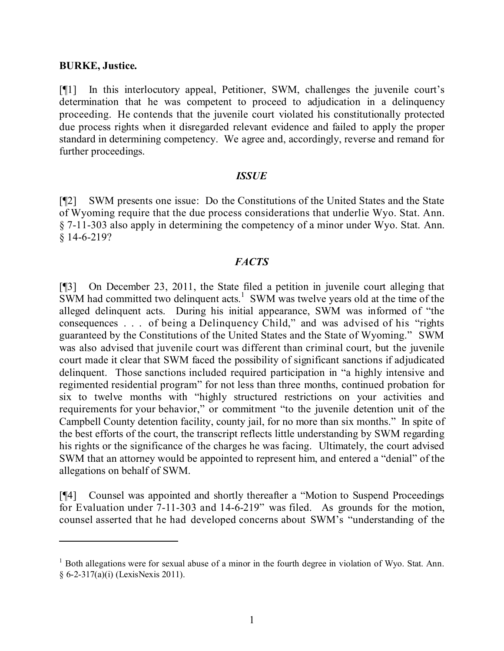#### **BURKE, Justice.**

[¶1] In this interlocutory appeal, Petitioner, SWM, challenges the juvenile court's determination that he was competent to proceed to adjudication in a delinquency proceeding. He contends that the juvenile court violated his constitutionally protected due process rights when it disregarded relevant evidence and failed to apply the proper standard in determining competency. We agree and, accordingly, reverse and remand for further proceedings.

#### *ISSUE*

[¶2] SWM presents one issue: Do the Constitutions of the United States and the State of Wyoming require that the due process considerations that underlie Wyo. Stat. Ann. § 7-11-303 also apply in determining the competency of a minor under Wyo. Stat. Ann. § 14-6-219?

### *FACTS*

[¶3] On December 23, 2011, the State filed a petition in juvenile court alleging that  $\overline{\text{SWM}}$  had committed two delinquent acts.<sup>1</sup> SWM was twelve years old at the time of the alleged delinquent acts. During his initial appearance, SWM was informed of "the consequences . . . of being a Delinquency Child," and was advised of his "rights guaranteed by the Constitutions of the United States and the State of Wyoming." SWM was also advised that juvenile court was different than criminal court, but the juvenile court made it clear that SWM faced the possibility of significant sanctions if adjudicated delinquent. Those sanctions included required participation in "a highly intensive and regimented residential program" for not less than three months, continued probation for six to twelve months with "highly structured restrictions on your activities and requirements for your behavior," or commitment "to the juvenile detention unit of the Campbell County detention facility, county jail, for no more than six months." In spite of the best efforts of the court, the transcript reflects little understanding by SWM regarding his rights or the significance of the charges he was facing. Ultimately, the court advised SWM that an attorney would be appointed to represent him, and entered a "denial" of the allegations on behalf of SWM.

[¶4] Counsel was appointed and shortly thereafter a "Motion to Suspend Proceedings for Evaluation under 7-11-303 and 14-6-219" was filed. As grounds for the motion, counsel asserted that he had developed concerns about SWM's "understanding of the

 $1$  Both allegations were for sexual abuse of a minor in the fourth degree in violation of Wyo. Stat. Ann. § 6-2-317(a)(i) (LexisNexis 2011).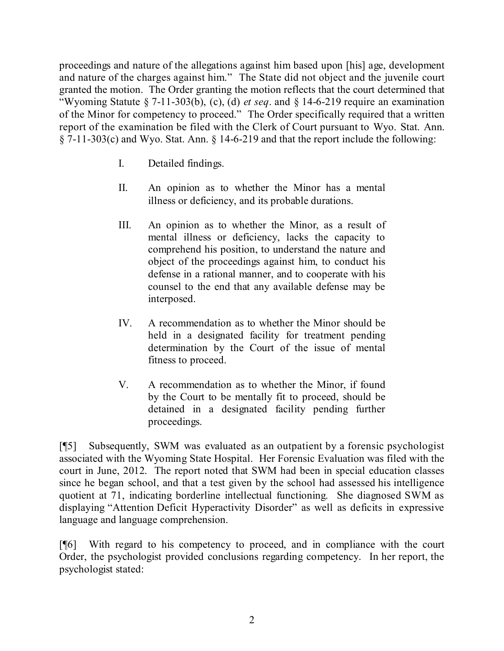proceedings and nature of the allegations against him based upon [his] age, development and nature of the charges against him." The State did not object and the juvenile court granted the motion. The Order granting the motion reflects that the court determined that "Wyoming Statute § 7-11-303(b), (c), (d) *et seq*. and § 14-6-219 require an examination of the Minor for competency to proceed." The Order specifically required that a written report of the examination be filed with the Clerk of Court pursuant to Wyo. Stat. Ann. § 7-11-303(c) and Wyo. Stat. Ann. § 14-6-219 and that the report include the following:

- I. Detailed findings.
- II. An opinion as to whether the Minor has a mental illness or deficiency, and its probable durations.
- III. An opinion as to whether the Minor, as a result of mental illness or deficiency, lacks the capacity to comprehend his position, to understand the nature and object of the proceedings against him, to conduct his defense in a rational manner, and to cooperate with his counsel to the end that any available defense may be interposed.
- IV. A recommendation as to whether the Minor should be held in a designated facility for treatment pending determination by the Court of the issue of mental fitness to proceed.
- V. A recommendation as to whether the Minor, if found by the Court to be mentally fit to proceed, should be detained in a designated facility pending further proceedings.

[¶5] Subsequently, SWM was evaluated as an outpatient by a forensic psychologist associated with the Wyoming State Hospital. Her Forensic Evaluation was filed with the court in June, 2012. The report noted that SWM had been in special education classes since he began school, and that a test given by the school had assessed his intelligence quotient at 71, indicating borderline intellectual functioning. She diagnosed SWM as displaying "Attention Deficit Hyperactivity Disorder" as well as deficits in expressive language and language comprehension.

[¶6] With regard to his competency to proceed, and in compliance with the court Order, the psychologist provided conclusions regarding competency. In her report, the psychologist stated: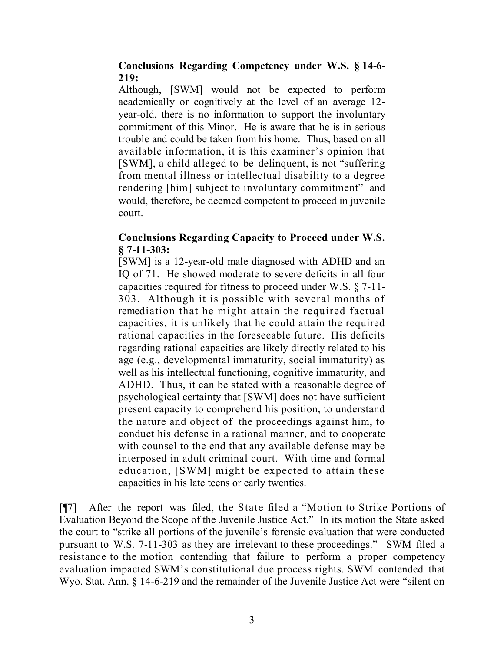## **Conclusions Regarding Competency under W.S. § 14-6- 219:**

Although, [SWM] would not be expected to perform academically or cognitively at the level of an average 12 year-old, there is no information to support the involuntary commitment of this Minor. He is aware that he is in serious trouble and could be taken from his home. Thus, based on all available information, it is this examiner's opinion that [SWM], a child alleged to be delinquent, is not "suffering from mental illness or intellectual disability to a degree rendering [him] subject to involuntary commitment" and would, therefore, be deemed competent to proceed in juvenile court.

## **Conclusions Regarding Capacity to Proceed under W.S. § 7-11-303:**

[SWM] is a 12-year-old male diagnosed with ADHD and an IQ of 71. He showed moderate to severe deficits in all four capacities required for fitness to proceed under W.S. § 7-11- 303. Although it is possible with several months of remediation that he might attain the required factual capacities, it is unlikely that he could attain the required rational capacities in the foreseeable future. His deficits regarding rational capacities are likely directly related to his age (e.g., developmental immaturity, social immaturity) as well as his intellectual functioning, cognitive immaturity, and ADHD. Thus, it can be stated with a reasonable degree of psychological certainty that [SWM] does not have sufficient present capacity to comprehend his position, to understand the nature and object of the proceedings against him, to conduct his defense in a rational manner, and to cooperate with counsel to the end that any available defense may be interposed in adult criminal court. With time and formal education, [SWM] might be expected to attain these capacities in his late teens or early twenties.

[¶7] After the report was filed, the State filed a "Motion to Strike Portions of Evaluation Beyond the Scope of the Juvenile Justice Act." In its motion the State asked the court to "strike all portions of the juvenile's forensic evaluation that were conducted pursuant to W.S. 7-11-303 as they are irrelevant to these proceedings." SWM filed a resistance to the motion contending that failure to perform a proper competency evaluation impacted SWM's constitutional due process rights. SWM contended that Wyo. Stat. Ann. § 14-6-219 and the remainder of the Juvenile Justice Act were "silent on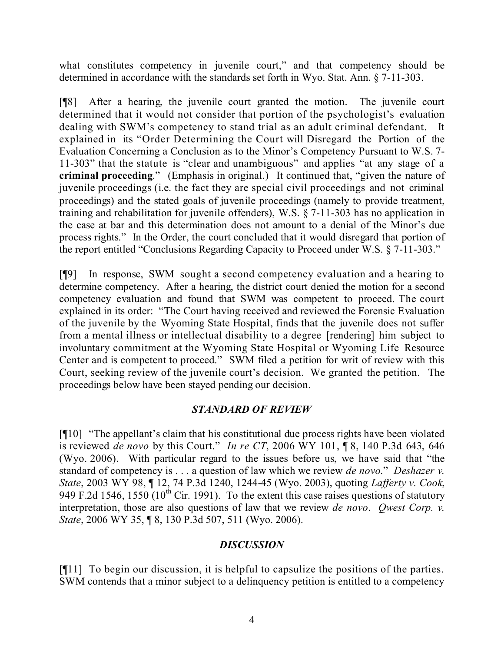what constitutes competency in juvenile court," and that competency should be determined in accordance with the standards set forth in Wyo. Stat. Ann. § 7-11-303.

[¶8] After a hearing, the juvenile court granted the motion. The juvenile court determined that it would not consider that portion of the psychologist's evaluation dealing with SWM's competency to stand trial as an adult criminal defendant. It explained in its "Order Determining the Court will Disregard the Portion of the Evaluation Concerning a Conclusion as to the Minor's Competency Pursuant to W.S. 7- 11-303" that the statute is "clear and unambiguous" and applies "at any stage of a **criminal proceeding**." (Emphasis in original.) It continued that, "given the nature of juvenile proceedings (i.e. the fact they are special civil proceedings and not criminal proceedings) and the stated goals of juvenile proceedings (namely to provide treatment, training and rehabilitation for juvenile offenders), W.S. § 7-11-303 has no application in the case at bar and this determination does not amount to a denial of the Minor's due process rights." In the Order, the court concluded that it would disregard that portion of the report entitled "Conclusions Regarding Capacity to Proceed under W.S. § 7-11-303."

[¶9] In response, SWM sought a second competency evaluation and a hearing to determine competency. After a hearing, the district court denied the motion for a second competency evaluation and found that SWM was competent to proceed. The court explained in its order: "The Court having received and reviewed the Forensic Evaluation of the juvenile by the Wyoming State Hospital, finds that the juvenile does not suffer from a mental illness or intellectual disability to a degree [rendering] him subject to involuntary commitment at the Wyoming State Hospital or Wyoming Life Resource Center and is competent to proceed." SWM filed a petition for writ of review with this Court, seeking review of the juvenile court's decision. We granted the petition. The proceedings below have been stayed pending our decision.

# *STANDARD OF REVIEW*

[¶10] "The appellant's claim that his constitutional due process rights have been violated is reviewed *de novo* by this Court." *In re CT*, 2006 WY 101, ¶ 8, 140 P.3d 643, 646 (Wyo. 2006). With particular regard to the issues before us, we have said that "the standard of competency is . . . a question of law which we review *de novo*." *Deshazer v. State*, 2003 WY 98, ¶ 12, 74 P.3d 1240, 1244-45 (Wyo. 2003), quoting *Lafferty v. Cook*, 949 F.2d 1546, 1550 (10<sup>th</sup> Cir. 1991). To the extent this case raises questions of statutory interpretation, those are also questions of law that we review *de novo*. *Qwest Corp. v. State*, 2006 WY 35, ¶ 8, 130 P.3d 507, 511 (Wyo. 2006).

## *DISCUSSION*

[¶11] To begin our discussion, it is helpful to capsulize the positions of the parties. SWM contends that a minor subject to a delinquency petition is entitled to a competency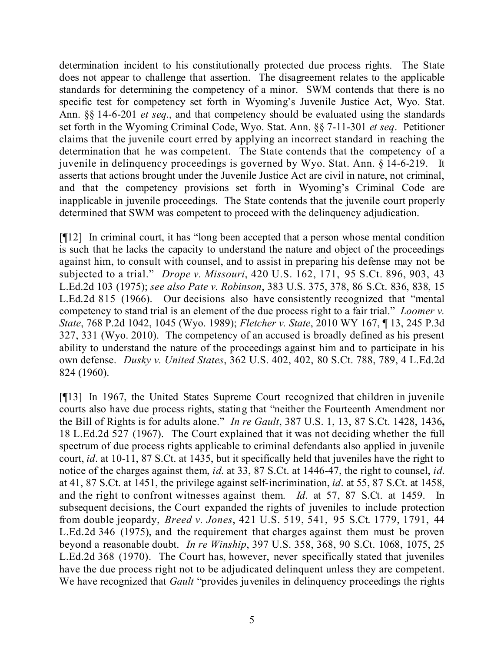determination incident to his constitutionally protected due process rights. The State does not appear to challenge that assertion. The disagreement relates to the applicable standards for determining the competency of a minor. SWM contends that there is no specific test for competency set forth in Wyoming's Juvenile Justice Act, Wyo. Stat. Ann. §§ 14-6-201 *et seq*., and that competency should be evaluated using the standards set forth in the Wyoming Criminal Code, Wyo. Stat. Ann. §§ 7-11-301 *et seq*. Petitioner claims that the juvenile court erred by applying an incorrect standard in reaching the determination that he was competent. The State contends that the competency of a juvenile in delinquency proceedings is governed by Wyo. Stat. Ann. § 14-6-219. It asserts that actions brought under the Juvenile Justice Act are civil in nature, not criminal, and that the competency provisions set forth in Wyoming's Criminal Code are inapplicable in juvenile proceedings. The State contends that the juvenile court properly determined that SWM was competent to proceed with the delinquency adjudication.

[¶12] In criminal court, it has "long been accepted that a person whose mental condition is such that he lacks the capacity to understand the nature and object of the proceedings against him, to consult with counsel, and to assist in preparing his defense may not be subjected to a trial." *Drope v. Missouri*, 420 U.S. 162, 171, 95 S.Ct. 896, 903, 43 L.Ed.2d 103 (1975); *see also Pate v. Robinson*, 383 U.S. 375, 378, 86 S.Ct. 836, 838, 15 L.Ed.2d 815 (1966). Our decisions also have consistently recognized that "mental competency to stand trial is an element of the due process right to a fair trial." *Loomer v. State*, 768 P.2d 1042, 1045 (Wyo. 1989); *Fletcher v. State*, 2010 WY 167, ¶ 13, 245 P.3d 327, 331 (Wyo. 2010). The competency of an accused is broadly defined as his present ability to understand the nature of the proceedings against him and to participate in his own defense. *Dusky v. United States*, 362 U.S. 402, 402, 80 S.Ct. 788, 789, 4 L.Ed.2d 824 (1960).

[¶13] In 1967, the United States Supreme Court recognized that children in juvenile courts also have due process rights, stating that "neither the Fourteenth Amendment nor the Bill of Rights is for adults alone." *In re Gault*, 387 U.S. 1, 13, 87 S.Ct. 1428, 1436**,** 18 L.Ed.2d 527 (1967). The Court explained that it was not deciding whether the full spectrum of due process rights applicable to criminal defendants also applied in juvenile court, *id*. at 10-11, 87 S.Ct. at 1435, but it specifically held that juveniles have the right to notice of the charges against them, *id*. at 33, 87 S.Ct. at 1446-47, the right to counsel, *id*. at 41, 87 S.Ct. at 1451, the privilege against self-incrimination, *id*. at 55, 87 S.Ct. at 1458, and the right to confront witnesses against them. *Id*. at 57, 87 S.Ct. at 1459. In subsequent decisions, the Court expanded the rights of juveniles to include protection from double jeopardy, *Breed v. Jones*, 421 U.S. 519, 541, 95 S.Ct. 1779, 1791, 44 L.Ed.2d 346 (1975), and the requirement that charges against them must be proven beyond a reasonable doubt. *In re Winship*, 397 U.S. 358, 368, 90 S.Ct. 1068, 1075, 25 L.Ed.2d 368 (1970). The Court has, however, never specifically stated that juveniles have the due process right not to be adjudicated delinquent unless they are competent. We have recognized that *Gault* "provides juveniles in delinguency proceedings the rights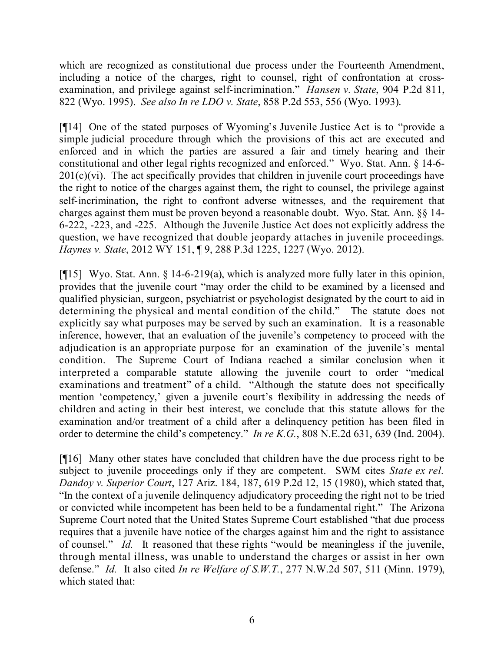which are recognized as constitutional due process under the Fourteenth Amendment, including a notice of the charges, right to counsel, right of confrontation at crossexamination, and privilege against self-incrimination." *Hansen v. State*, 904 P.2d 811, 822 (Wyo. 1995). *See also In re LDO v. State*, 858 P.2d 553, 556 (Wyo. 1993).

[¶14] One of the stated purposes of Wyoming's Juvenile Justice Act is to "provide a simple judicial procedure through which the provisions of this act are executed and enforced and in which the parties are assured a fair and timely hearing and their constitutional and other legal rights recognized and enforced." Wyo. Stat. Ann. § 14-6-  $201(c)(vi)$ . The act specifically provides that children in juvenile court proceedings have the right to notice of the charges against them, the right to counsel, the privilege against self-incrimination, the right to confront adverse witnesses, and the requirement that charges against them must be proven beyond a reasonable doubt. Wyo. Stat. Ann. §§ 14- 6-222, -223, and -225. Although the Juvenile Justice Act does not explicitly address the question, we have recognized that double jeopardy attaches in juvenile proceedings. *Haynes v. State*, 2012 WY 151, ¶ 9, 288 P.3d 1225, 1227 (Wyo. 2012).

[¶15] Wyo. Stat. Ann. § 14-6-219(a), which is analyzed more fully later in this opinion, provides that the juvenile court "may order the child to be examined by a licensed and qualified physician, surgeon, psychiatrist or psychologist designated by the court to aid in determining the physical and mental condition of the child." The statute does not explicitly say what purposes may be served by such an examination. It is a reasonable inference, however, that an evaluation of the juvenile's competency to proceed with the adjudication is an appropriate purpose for an examination of the juvenile's mental condition. The Supreme Court of Indiana reached a similar conclusion when it interpreted a comparable statute allowing the juvenile court to order "medical examinations and treatment" of a child. "Although the statute does not specifically mention 'competency,' given a juvenile court's flexibility in addressing the needs of children and acting in their best interest, we conclude that this statute allows for the examination and/or treatment of a child after a delinquency petition has been filed in order to determine the child's competency." *In re K.G.*, 808 N.E.2d 631, 639 (Ind. 2004).

[¶16] Many other states have concluded that children have the due process right to be subject to juvenile proceedings only if they are competent. SWM cites *State ex rel. Dandoy v. Superior Court*, 127 Ariz. 184, 187, 619 P.2d 12, 15 (1980), which stated that, "In the context of a juvenile delinquency adjudicatory proceeding the right not to be tried or convicted while incompetent has been held to be a fundamental right." The Arizona Supreme Court noted that the United States Supreme Court established "that due process requires that a juvenile have notice of the charges against him and the right to assistance of counsel." *Id.* It reasoned that these rights "would be meaningless if the juvenile, through mental illness, was unable to understand the charges or assist in her own defense." *Id.* It also cited *In re Welfare of S.W.T.*, 277 N.W.2d 507, 511 (Minn. 1979), which stated that: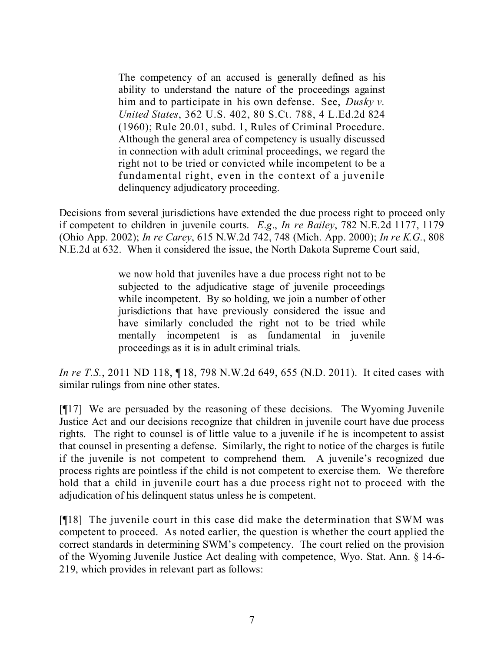The competency of an accused is generally defined as his ability to understand the nature of the proceedings against him and to participate in his own defense. See, *Dusky v. United States*, 362 U.S. 402, 80 S.Ct. 788, 4 L.Ed.2d 824 (1960); Rule 20.01, subd. 1, Rules of Criminal Procedure. Although the general area of competency is usually discussed in connection with adult criminal proceedings, we regard the right not to be tried or convicted while incompetent to be a fundamental right, even in the context of a juvenile delinquency adjudicatory proceeding.

Decisions from several jurisdictions have extended the due process right to proceed only if competent to children in juvenile courts. *E*.*g*., *In re Bailey*, 782 N.E.2d 1177, 1179 (Ohio App. 2002); *In re Carey*, 615 N.W.2d 742, 748 (Mich. App. 2000); *In re K.G.*, 808 N.E.2d at 632. When it considered the issue, the North Dakota Supreme Court said,

> we now hold that juveniles have a due process right not to be subjected to the adjudicative stage of juvenile proceedings while incompetent. By so holding, we join a number of other jurisdictions that have previously considered the issue and have similarly concluded the right not to be tried while mentally incompetent is as fundamental in juvenile proceedings as it is in adult criminal trials.

*In re T.S.*, 2011 ND 118, 18, 798 N.W.2d 649, 655 (N.D. 2011). It cited cases with similar rulings from nine other states.

[¶17] We are persuaded by the reasoning of these decisions. The Wyoming Juvenile Justice Act and our decisions recognize that children in juvenile court have due process rights. The right to counsel is of little value to a juvenile if he is incompetent to assist that counsel in presenting a defense. Similarly, the right to notice of the charges is futile if the juvenile is not competent to comprehend them. A juvenile's recognized due process rights are pointless if the child is not competent to exercise them. We therefore hold that a child in juvenile court has a due process right not to proceed with the adjudication of his delinquent status unless he is competent.

[¶18] The juvenile court in this case did make the determination that SWM was competent to proceed. As noted earlier, the question is whether the court applied the correct standards in determining SWM's competency. The court relied on the provision of the Wyoming Juvenile Justice Act dealing with competence, Wyo. Stat. Ann. § 14-6- 219, which provides in relevant part as follows: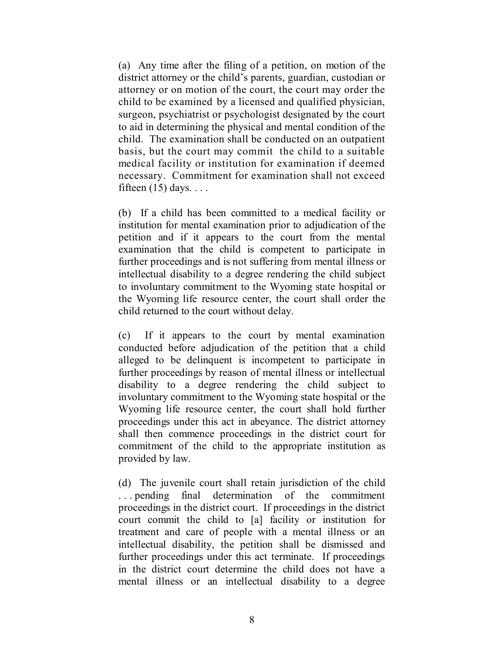(a) Any time after the filing of a petition, on motion of the district attorney or the child's parents, guardian, custodian or attorney or on motion of the court, the court may order the child to be examined by a licensed and qualified physician, surgeon, psychiatrist or psychologist designated by the court to aid in determining the physical and mental condition of the child. The examination shall be conducted on an outpatient basis, but the court may commit the child to a suitable medical facility or institution for examination if deemed necessary. Commitment for examination shall not exceed fifteen  $(15)$  days. . . .

(b) If a child has been committed to a medical facility or institution for mental examination prior to adjudication of the petition and if it appears to the court from the mental examination that the child is competent to participate in further proceedings and is not suffering from mental illness or intellectual disability to a degree rendering the child subject to involuntary commitment to the Wyoming state hospital or the Wyoming life resource center, the court shall order the child returned to the court without delay.

(c) If it appears to the court by mental examination conducted before adjudication of the petition that a child alleged to be delinquent is incompetent to participate in further proceedings by reason of mental illness or intellectual disability to a degree rendering the child subject to involuntary commitment to the Wyoming state hospital or the Wyoming life resource center, the court shall hold further proceedings under this act in abeyance. The district attorney shall then commence proceedings in the district court for commitment of the child to the appropriate institution as provided by law.

(d) The juvenile court shall retain jurisdiction of the child . . . pending final determination of the commitment proceedings in the district court. If proceedings in the district court commit the child to [a] facility or institution for treatment and care of people with a mental illness or an intellectual disability, the petition shall be dismissed and further proceedings under this act terminate. If proceedings in the district court determine the child does not have a mental illness or an intellectual disability to a degree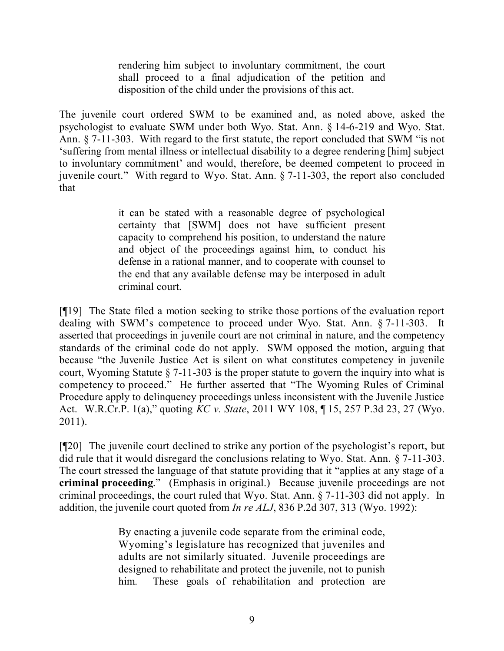rendering him subject to involuntary commitment, the court shall proceed to a final adjudication of the petition and disposition of the child under the provisions of this act.

The juvenile court ordered SWM to be examined and, as noted above, asked the psychologist to evaluate SWM under both Wyo. Stat. Ann. § 14-6-219 and Wyo. Stat. Ann. § 7-11-303. With regard to the first statute, the report concluded that SWM "is not 'suffering from mental illness or intellectual disability to a degree rendering [him] subject to involuntary commitment' and would, therefore, be deemed competent to proceed in juvenile court." With regard to Wyo. Stat. Ann. § 7-11-303, the report also concluded that

> it can be stated with a reasonable degree of psychological certainty that [SWM] does not have sufficient present capacity to comprehend his position, to understand the nature and object of the proceedings against him, to conduct his defense in a rational manner, and to cooperate with counsel to the end that any available defense may be interposed in adult criminal court.

[¶19] The State filed a motion seeking to strike those portions of the evaluation report dealing with SWM's competence to proceed under Wyo. Stat. Ann. § 7-11-303. It asserted that proceedings in juvenile court are not criminal in nature, and the competency standards of the criminal code do not apply. SWM opposed the motion, arguing that because "the Juvenile Justice Act is silent on what constitutes competency in juvenile court, Wyoming Statute § 7-11-303 is the proper statute to govern the inquiry into what is competency to proceed." He further asserted that "The Wyoming Rules of Criminal Procedure apply to delinquency proceedings unless inconsistent with the Juvenile Justice Act. W.R.Cr.P. 1(a)," quoting *KC v. State*, 2011 WY 108, ¶ 15, 257 P.3d 23, 27 (Wyo. 2011).

[¶20] The juvenile court declined to strike any portion of the psychologist's report, but did rule that it would disregard the conclusions relating to Wyo. Stat. Ann. § 7-11-303. The court stressed the language of that statute providing that it "applies at any stage of a **criminal proceeding**." (Emphasis in original.) Because juvenile proceedings are not criminal proceedings, the court ruled that Wyo. Stat. Ann. § 7-11-303 did not apply. In addition, the juvenile court quoted from *In re ALJ*, 836 P.2d 307, 313 (Wyo. 1992):

> By enacting a juvenile code separate from the criminal code, Wyoming's legislature has recognized that juveniles and adults are not similarly situated. Juvenile proceedings are designed to rehabilitate and protect the juvenile, not to punish him. These goals of rehabilitation and protection are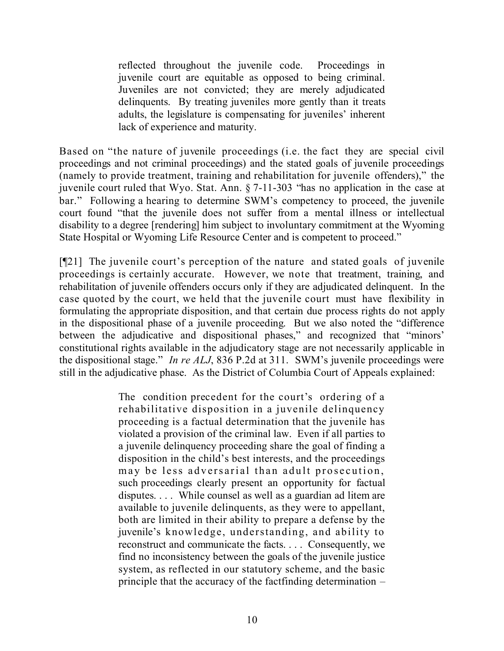reflected throughout the juvenile code. Proceedings in juvenile court are equitable as opposed to being criminal. Juveniles are not convicted; they are merely adjudicated delinquents. By treating juveniles more gently than it treats adults, the legislature is compensating for juveniles' inherent lack of experience and maturity.

Based on "the nature of juvenile proceedings (i.e. the fact they are special civil proceedings and not criminal proceedings) and the stated goals of juvenile proceedings (namely to provide treatment, training and rehabilitation for juvenile offenders)," the juvenile court ruled that Wyo. Stat. Ann. § 7-11-303 "has no application in the case at bar." Following a hearing to determine SWM's competency to proceed, the juvenile court found "that the juvenile does not suffer from a mental illness or intellectual disability to a degree [rendering] him subject to involuntary commitment at the Wyoming State Hospital or Wyoming Life Resource Center and is competent to proceed."

[¶21] The juvenile court's perception of the nature and stated goals of juvenile proceedings is certainly accurate. However, we note that treatment, training, and rehabilitation of juvenile offenders occurs only if they are adjudicated delinquent. In the case quoted by the court, we held that the juvenile court must have flexibility in formulating the appropriate disposition, and that certain due process rights do not apply in the dispositional phase of a juvenile proceeding. But we also noted the "difference between the adjudicative and dispositional phases," and recognized that "minors' constitutional rights available in the adjudicatory stage are not necessarily applicable in the dispositional stage." *In re ALJ*, 836 P.2d at 311. SWM's juvenile proceedings were still in the adjudicative phase. As the District of Columbia Court of Appeals explained:

> The condition precedent for the court's ordering of a rehabilitative disposition in a juvenile delinquency proceeding is a factual determination that the juvenile has violated a provision of the criminal law. Even if all parties to a juvenile delinquency proceeding share the goal of finding a disposition in the child's best interests, and the proceedings may be less adversarial than adult prosecution, such proceedings clearly present an opportunity for factual disputes. . . . While counsel as well as a guardian ad litem are available to juvenile delinquents, as they were to appellant, both are limited in their ability to prepare a defense by the juvenile's knowledge, understanding, and ability to reconstruct and communicate the facts. . . . Consequently, we find no inconsistency between the goals of the juvenile justice system, as reflected in our statutory scheme, and the basic principle that the accuracy of the factfinding determination –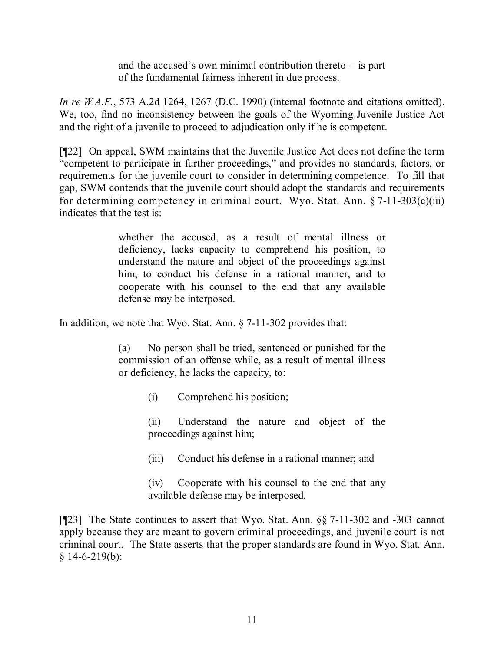and the accused's own minimal contribution thereto – is part of the fundamental fairness inherent in due process.

*In re W.A.F.*, 573 A.2d 1264, 1267 (D.C. 1990) (internal footnote and citations omitted). We, too, find no inconsistency between the goals of the Wyoming Juvenile Justice Act and the right of a juvenile to proceed to adjudication only if he is competent.

[¶22] On appeal, SWM maintains that the Juvenile Justice Act does not define the term "competent to participate in further proceedings," and provides no standards, factors, or requirements for the juvenile court to consider in determining competence. To fill that gap, SWM contends that the juvenile court should adopt the standards and requirements for determining competency in criminal court. Wyo. Stat. Ann.  $\S 7$ -11-303(c)(iii) indicates that the test is:

> whether the accused, as a result of mental illness or deficiency, lacks capacity to comprehend his position, to understand the nature and object of the proceedings against him, to conduct his defense in a rational manner, and to cooperate with his counsel to the end that any available defense may be interposed.

In addition, we note that Wyo. Stat. Ann. § 7-11-302 provides that:

(a) No person shall be tried, sentenced or punished for the commission of an offense while, as a result of mental illness or deficiency, he lacks the capacity, to:

(i) Comprehend his position;

(ii) Understand the nature and object of the proceedings against him;

(iii) Conduct his defense in a rational manner; and

(iv) Cooperate with his counsel to the end that any available defense may be interposed.

[¶23] The State continues to assert that Wyo. Stat. Ann. §§ 7-11-302 and -303 cannot apply because they are meant to govern criminal proceedings, and juvenile court is not criminal court. The State asserts that the proper standards are found in Wyo. Stat. Ann.  $§ 14-6-219(b):$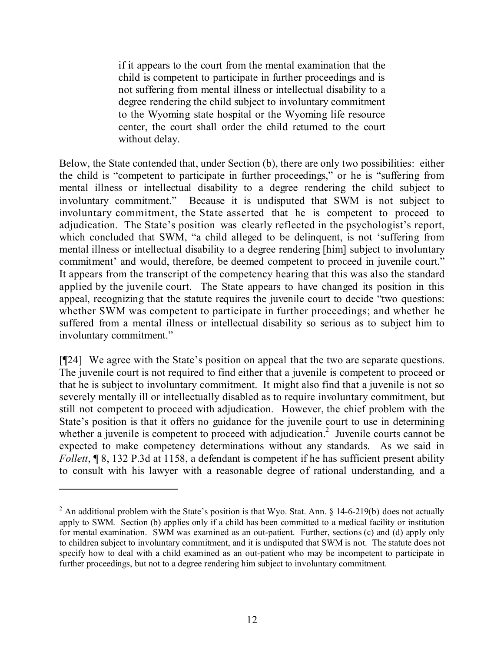if it appears to the court from the mental examination that the child is competent to participate in further proceedings and is not suffering from mental illness or intellectual disability to a degree rendering the child subject to involuntary commitment to the Wyoming state hospital or the Wyoming life resource center, the court shall order the child returned to the court without delay.

Below, the State contended that, under Section (b), there are only two possibilities: either the child is "competent to participate in further proceedings," or he is "suffering from mental illness or intellectual disability to a degree rendering the child subject to involuntary commitment." Because it is undisputed that SWM is not subject to involuntary commitment, the State asserted that he is competent to proceed to adjudication. The State's position was clearly reflected in the psychologist's report, which concluded that SWM, "a child alleged to be delinquent, is not 'suffering from mental illness or intellectual disability to a degree rendering [him] subject to involuntary commitment' and would, therefore, be deemed competent to proceed in juvenile court." It appears from the transcript of the competency hearing that this was also the standard applied by the juvenile court. The State appears to have changed its position in this appeal, recognizing that the statute requires the juvenile court to decide "two questions: whether SWM was competent to participate in further proceedings; and whether he suffered from a mental illness or intellectual disability so serious as to subject him to involuntary commitment."

[¶24] We agree with the State's position on appeal that the two are separate questions. The juvenile court is not required to find either that a juvenile is competent to proceed or that he is subject to involuntary commitment. It might also find that a juvenile is not so severely mentally ill or intellectually disabled as to require involuntary commitment, but still not competent to proceed with adjudication. However, the chief problem with the State's position is that it offers no guidance for the juvenile court to use in determining whether a juvenile is competent to proceed with adjudication.<sup>2</sup> Juvenile courts cannot be expected to make competency determinations without any standards. As we said in *Follett*, **[8, 132 P.3d at 1158, a defendant is competent if he has sufficient present ability** to consult with his lawyer with a reasonable degree of rational understanding, and a

<sup>&</sup>lt;sup>2</sup> An additional problem with the State's position is that Wyo. Stat. Ann. § 14-6-219(b) does not actually apply to SWM. Section (b) applies only if a child has been committed to a medical facility or institution for mental examination. SWM was examined as an out-patient. Further, sections (c) and (d) apply only to children subject to involuntary commitment, and it is undisputed that SWM is not. The statute does not specify how to deal with a child examined as an out-patient who may be incompetent to participate in further proceedings, but not to a degree rendering him subject to involuntary commitment.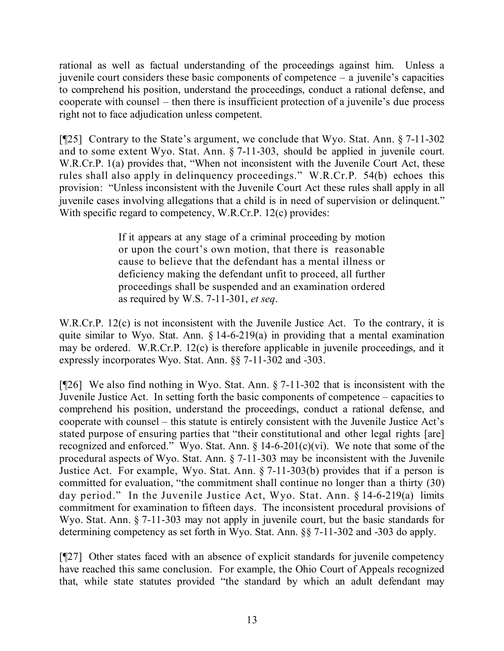rational as well as factual understanding of the proceedings against him. Unless a juvenile court considers these basic components of competence – a juvenile's capacities to comprehend his position, understand the proceedings, conduct a rational defense, and cooperate with counsel – then there is insufficient protection of a juvenile's due process right not to face adjudication unless competent.

[¶25] Contrary to the State's argument, we conclude that Wyo. Stat. Ann. § 7-11-302 and to some extent Wyo. Stat. Ann. § 7-11-303, should be applied in juvenile court. W.R.Cr.P. 1(a) provides that, "When not inconsistent with the Juvenile Court Act, these rules shall also apply in delinquency proceedings." W.R.Cr.P. 54(b) echoes this provision: "Unless inconsistent with the Juvenile Court Act these rules shall apply in all juvenile cases involving allegations that a child is in need of supervision or delinquent." With specific regard to competency, W.R.Cr.P. 12(c) provides:

> If it appears at any stage of a criminal proceeding by motion or upon the court's own motion, that there is reasonable cause to believe that the defendant has a mental illness or deficiency making the defendant unfit to proceed, all further proceedings shall be suspended and an examination ordered as required by W.S. 7-11-301, *et seq*.

W.R.Cr.P. 12(c) is not inconsistent with the Juvenile Justice Act. To the contrary, it is quite similar to Wyo. Stat. Ann.  $\S$  14-6-219(a) in providing that a mental examination may be ordered. W.R.Cr.P. 12(c) is therefore applicable in juvenile proceedings, and it expressly incorporates Wyo. Stat. Ann. §§ 7-11-302 and -303.

[¶26] We also find nothing in Wyo. Stat. Ann. § 7-11-302 that is inconsistent with the Juvenile Justice Act. In setting forth the basic components of competence – capacities to comprehend his position, understand the proceedings, conduct a rational defense, and cooperate with counsel – this statute is entirely consistent with the Juvenile Justice Act's stated purpose of ensuring parties that "their constitutional and other legal rights [are] recognized and enforced." Wyo. Stat. Ann. § 14-6-201(c)(vi). We note that some of the procedural aspects of Wyo. Stat. Ann. § 7-11-303 may be inconsistent with the Juvenile Justice Act. For example, Wyo. Stat. Ann. § 7-11-303(b) provides that if a person is committed for evaluation, "the commitment shall continue no longer than a thirty (30) day period." In the Juvenile Justice Act, Wyo. Stat. Ann. § 14-6-219(a) limits commitment for examination to fifteen days. The inconsistent procedural provisions of Wyo. Stat. Ann. § 7-11-303 may not apply in juvenile court, but the basic standards for determining competency as set forth in Wyo. Stat. Ann. §§ 7-11-302 and -303 do apply.

[¶27] Other states faced with an absence of explicit standards for juvenile competency have reached this same conclusion. For example, the Ohio Court of Appeals recognized that, while state statutes provided "the standard by which an adult defendant may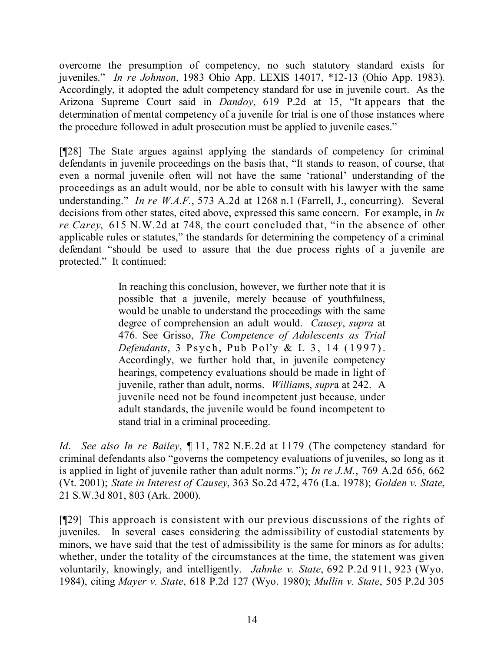overcome the presumption of competency, no such statutory standard exists for juveniles." *In re Johnson*, 1983 Ohio App. LEXIS 14017, \*12-13 (Ohio App. 1983). Accordingly, it adopted the adult competency standard for use in juvenile court. As the Arizona Supreme Court said in *Dandoy*, 619 P.2d at 15, "It appears that the determination of mental competency of a juvenile for trial is one of those instances where the procedure followed in adult prosecution must be applied to juvenile cases."

[¶28] The State argues against applying the standards of competency for criminal defendants in juvenile proceedings on the basis that, "It stands to reason, of course, that even a normal juvenile often will not have the same 'rational' understanding of the proceedings as an adult would, nor be able to consult with his lawyer with the same understanding." *In re W.A.F.*, 573 A.2d at 1268 n.1 (Farrell, J., concurring). Several decisions from other states, cited above, expressed this same concern. For example, in *In re Carey*, 615 N.W.2d at 748, the court concluded that, "in the absence of other applicable rules or statutes," the standards for determining the competency of a criminal defendant "should be used to assure that the due process rights of a juvenile are protected." It continued:

> In reaching this conclusion, however, we further note that it is possible that a juvenile, merely because of youthfulness, would be unable to understand the proceedings with the same degree of comprehension an adult would. *Causey*, *supra* at 476. See Grisso, *The Competence of Adolescents as Trial Defendants*, 3 Psych, Pub Pol'y & L 3, 14 (1997). Accordingly, we further hold that, in juvenile competency hearings, competency evaluations should be made in light of juvenile, rather than adult, norms. *William*s, *supr*a at 242. A juvenile need not be found incompetent just because, under adult standards, the juvenile would be found incompetent to stand trial in a criminal proceeding.

*Id*. *See also In re Bailey*, ¶ 11, 782 N.E.2d at 1179 (The competency standard for criminal defendants also "governs the competency evaluations of juveniles, so long as it is applied in light of juvenile rather than adult norms."); *In re J.M.*, 769 A.2d 656, 662 (Vt. 2001); *State in Interest of Causey*, 363 So.2d 472, 476 (La. 1978); *Golden v. State*, 21 S.W.3d 801, 803 (Ark. 2000).

[¶29] This approach is consistent with our previous discussions of the rights of juveniles. In several cases considering the admissibility of custodial statements by minors, we have said that the test of admissibility is the same for minors as for adults: whether, under the totality of the circumstances at the time, the statement was given voluntarily, knowingly, and intelligently. *Jahnke v. State*, 692 P.2d 911, 923 (Wyo. 1984), citing *Mayer v. State*, 618 P.2d 127 (Wyo. 1980); *Mullin v. State*, 505 P.2d 305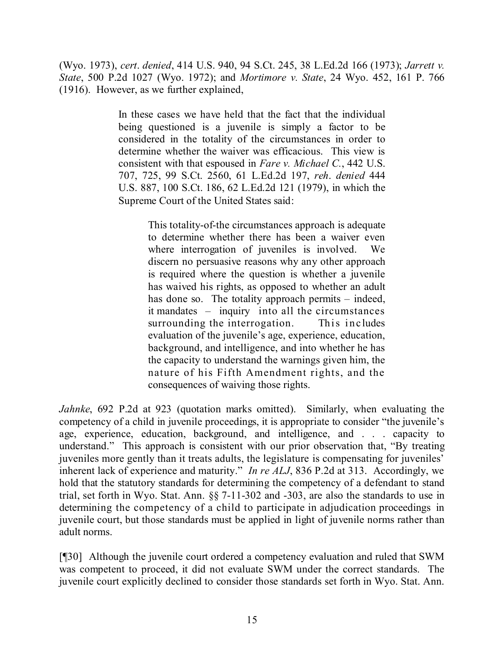(Wyo. 1973), *cert*. *denied*, 414 U.S. 940, 94 S.Ct. 245, 38 L.Ed.2d 166 (1973); *Jarrett v. State*, 500 P.2d 1027 (Wyo. 1972); and *Mortimore v. State*, 24 Wyo. 452, 161 P. 766 (1916). However, as we further explained,

> In these cases we have held that the fact that the individual being questioned is a juvenile is simply a factor to be considered in the totality of the circumstances in order to determine whether the waiver was efficacious. This view is consistent with that espoused in *Fare v. Michael C.*, 442 U.S. 707, 725, 99 S.Ct. 2560, 61 L.Ed.2d 197, *reh*. *denied* 444 U.S. 887, 100 S.Ct. 186, 62 L.Ed.2d 121 (1979), in which the Supreme Court of the United States said:

> > This totality-of-the circumstances approach is adequate to determine whether there has been a waiver even where interrogation of juveniles is involved. We discern no persuasive reasons why any other approach is required where the question is whether a juvenile has waived his rights, as opposed to whether an adult has done so. The totality approach permits – indeed, it mandates – inquiry into all the circumstances surrounding the interrogation. This includes evaluation of the juvenile's age, experience, education, background, and intelligence, and into whether he has the capacity to understand the warnings given him, the nature of his Fifth Amendment rights, and the consequences of waiving those rights.

*Jahnke*, 692 P.2d at 923 (quotation marks omitted). Similarly, when evaluating the competency of a child in juvenile proceedings, it is appropriate to consider "the juvenile's age, experience, education, background, and intelligence, and . . . capacity to understand." This approach is consistent with our prior observation that, "By treating juveniles more gently than it treats adults, the legislature is compensating for juveniles' inherent lack of experience and maturity." *In re ALJ*, 836 P.2d at 313. Accordingly, we hold that the statutory standards for determining the competency of a defendant to stand trial, set forth in Wyo. Stat. Ann. §§ 7-11-302 and -303, are also the standards to use in determining the competency of a child to participate in adjudication proceedings in juvenile court, but those standards must be applied in light of juvenile norms rather than adult norms.

[¶30] Although the juvenile court ordered a competency evaluation and ruled that SWM was competent to proceed, it did not evaluate SWM under the correct standards. The juvenile court explicitly declined to consider those standards set forth in Wyo. Stat. Ann.